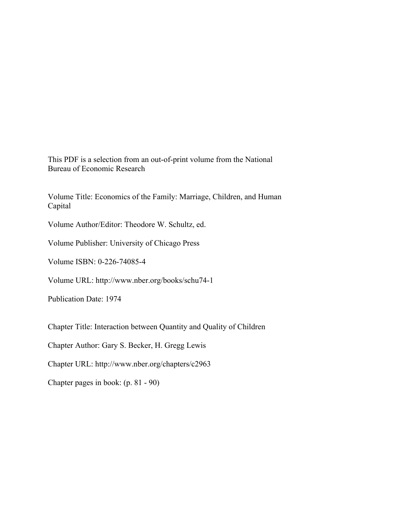This PDF is a selection from an out-of-print volume from the National Bureau of Economic Research

Volume Title: Economics of the Family: Marriage, Children, and Human Capital

Volume Author/Editor: Theodore W. Schultz, ed.

Volume Publisher: University of Chicago Press

Volume ISBN: 0-226-74085-4

Volume URL: http://www.nber.org/books/schu74-1

Publication Date: 1974

Chapter Title: Interaction between Quantity and Quality of Children

Chapter Author: Gary S. Becker, H. Gregg Lewis

Chapter URL: http://www.nber.org/chapters/c2963

Chapter pages in book: (p. 81 - 90)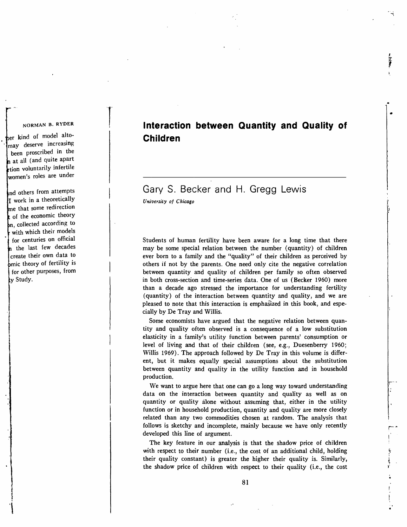# Gary S. Becker and H. Gregg Lewis

University of Chicago

Students of human fertility have been aware for a long time that there may be some special relation between the number (quantity) of children ever born to a family and the "quality" of their children as perceived by others if not by the parents. One need only cite the negative correlation between quantity and quality of children per family so often observed in both cross-section and time-series data. One of us (Becker 1960) more than a decade ago stressed the importance for understanding fertility (quantity) of the interaction between quantity and quality, and we are pleased to note that this interaction is emphasized in this book, and especially by De Tray and Willis.

Some economists have argued that the negative relation between quantity and quality often observed is a consequence of a low substitution elasticity in a family's utility function between parents' consumption or level of living and that of their children (see, e.g., Duesenberry 1960; Willis 1969). The approach followed by De Tray in this volume is different, but it makes equally special assumptions about the substitution between quantity and quality in the utility function and in household production.

We want to argue here that one can go a long way toward understanding data on the interaction between quantity and quality as well as on quantity or quality alone without assuming that, either in the utility function or in household production, quantity and quality are more closely related than any two commodities chosen at random. The analysis that follows is sketchy and incomplete, mainly because we have only recently developed this line of argument.

The key feature in our analysis is that the shadow price of children with respect to their number (i.e., the cost of an additional child, holding their quality constant) is greater the higher their quality is. Similarly, the shadow price of children with respect to their quality (i.e., the cost

 $\cdot$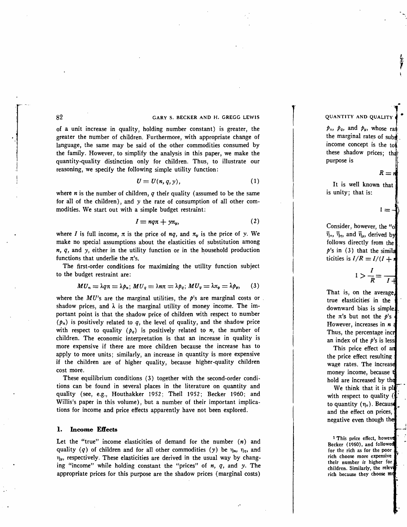of a unit increase in quality, holding number constant) is greater, the greater the number of children. Furthermore, with appropriate change of language, the same may be said of the other commodities consumed by the family. However, to simplify the analysis in this paper, we make the quantity-quality distinction only for children. Thus, to illustrate our reasoning, we specify the following simple utility function:

$$
U = U(n, q, y), \tag{1}
$$

where *n* is the number of children,  $q$  their quality (assumed to be the same for all of the children), and  $y$  the rate of consumption of all other commodities. We start out with a simple budget restraint:

$$
I = nq\pi + \gamma \pi_y,\tag{2}
$$

where I is full income,  $\pi$  is the price of  $nq$ , and  $\pi_y$  is the price of y. We make no special assumptions about the elasticities of substitution among  $n, q$ , and  $y$ , either in the utility function or in the household production functions that underlie the  $\pi$ 's.

The first-order conditions for maximizing the utility function subject to the budget restraint are:

$$
MU_n = \lambda q \pi = \lambda p_n; MU_q = \lambda n \pi = \lambda p_q; MU_y = \lambda \pi_y = \lambda p_y,
$$
 (3)

where the  $MU$ 's are the marginal utilities, the  $p$ 's are marginal costs or shadow prices, and  $\lambda$  is the marginal utility of money income. The important point is that the shadow price of children with respect to number  $(p_n)$  is positively related to q, the level of quality, and the shadow price with respect to quality  $(p_q)$  is positively related to n, the number of children. The economic interpretation is that an increase in quality is more expensive if there are more children because the increase has to apply to more units; similarly, an increase in quantity is more expensive if the children are of higher quality, because higher-quality children cost more.

These equilibrium conditions (3) together with the second-order conditions can be found in several places in the literature on quantity and quality (see, e.g., Houthakker 1952; Theil 1952; Becker 1960; and Willis's paper in this volume), but a number of their important implications for income and price effects apparently have not been explored.

### 1. Income Effects

Let the "true" income elasticities of demand for the number  $(n)$  and quality (q) of children and for all other commodities (y) be  $\eta_n$ ,  $\eta_q$ , and  $\eta_{\nu}$ , respectively. These elasticities are derived in the usual way by changing "income" while holding constant the "prices" of  $n$ ,  $q$ , and  $y$ . The appropriate prices for this purpose are the shadow prices (marginal costs)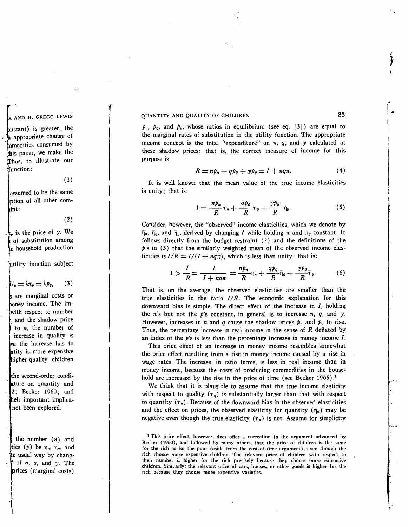$p_n$ ,  $p_q$ , and  $p_y$ , whose ratios in equilibrium (see eq. [3]) are equal to the marginal rates of substitution in the utility function. The appropriate income concept is the total "expenditure" on  $n$ ,  $q$ , and  $y$  calculated at these shadow prices; that is, the correct measure of income for this purpose is

$$
R = np_n + qp_q + yp_y = I + nq\pi. \tag{4}
$$

It is well known that the mean value of the true income elasticities is unity; that is:

$$
1 = \frac{np_n}{R} \eta_n + \frac{q p_q}{R} \eta_q + \frac{y p_y}{R} \eta_y. \tag{5}
$$

Consider, however, the "observed" income elasticities, which we denote by  $\bar{\eta}_n$ ,  $\bar{\eta}_q$ , and  $\bar{\eta}_v$ , derived by changing I while holding  $\pi$  and  $\pi_v$  constant. It follows directly from the budget restraint (2) and the definitions of the  $p$ 's in (3) that the similarly weighted mean of the observed income elasticities is  $I/R = I/(I + nq\pi)$ , which is less than unity; that is:  $1 = \frac{n p_n}{R} \eta_n + \frac{q p_q}{R} \eta_q + \frac{q p_q}{R} \eta_{\nu}$ . (5)<br>
nowever, the "observed" income elasticities, which we denote by<br>  $\overline{\eta}_{\nu}$ , derived by changing *I* while holding *π* and  $\pi_{\nu}$  constant. It<br>
ectly from the budget r

$$
1>\frac{I}{R}=\frac{I}{I+nq\pi}=\frac{n p_n}{R}\bar{\eta}_n+\frac{q p_q}{R}\bar{\eta}_q+\frac{y p_y}{R}\bar{\eta}_y.
$$
 (6)

That is, on the average, the observed elasticities are smaller than the true elasticities in the ratio  $I/R$ . The economic explanation for this downward bias is simple. The direct effect of the increase in  $I$ , holding the  $\pi$ 's but not the  $p$ 's constant, in general is to increase n, q, and y. However, increases in *n* and *q* cause the shadow prices  $p_n$  and  $p_q$  to rise. Thus, the percentage increase in real income in the sense of  $R$  deflated by an index of the  $p$ 's is less than the percentage increase in money income  $I$ .

This price effect of an increase in money income resembles somewhat the price effect resulting from a rise in money income caused by a rise in wage rates. The increase, in ratio terms, is less in real income than in money income, because the costs of producing commodities in the household are increased by the rise in the price of time (see Becker 1965).<sup>1</sup>

We think that it is plausible to assume that the true income elasticity with respect to quality ( $\eta_q$ ) is substantially larger than that with respect to quantity  $(\eta_n)$ . Because of the downward bias in the observed elasticities and the effect on prices, the observed elasticity for quantity  $(\bar{\eta}_n)$  may be negative even though the true elasticity  $(\eta_n)$  is not. Assume for simplicity

<sup>&</sup>lt;sup>1</sup> This price effect, however, does offer a correction to the argument advanced by Becker (1960), and followed by many others, that the price of children is the same for the rich as for the poor (aside from the cost-of-time argument), even though the rich choose more expensive children. The relevant price of children with respect to their number is higher for the rich precisely because they choose more expensive children. Similarly; the relevant price of cars, houses, or other goods is higher for the rich because they choose more expensive varieties.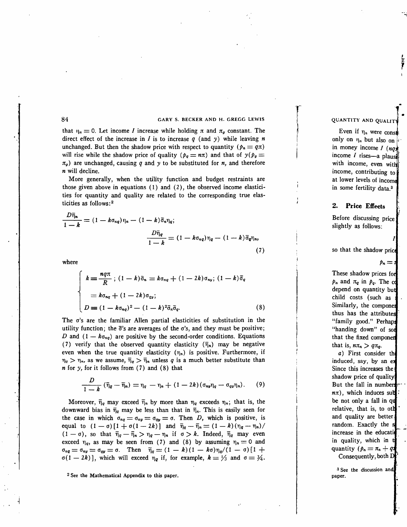that  $\eta_n = 0$ . Let income *I* increase while holding  $\pi$  and  $\pi_{\nu}$  constant. The direct effect of the increase in I is to increase  $q$  (and y) while leaving n unchanged. But then the shadow price with respect to quantity ( $p_n = q\pi$ ) will rise while the shadow price of quality ( $p_q = n\pi$ ) and that of  $y(p_q =$  $\pi_{\nu}$ ) are unchanged, causing q and y to be substituted for n, and therefore n will decline.

More generally, when the utility function and budget restraints are those given above in equations (1) and (2), the observed income elasticities for quantity and quality are related to the corresponding true elasticities as follows:2

$$
\frac{D\overline{\eta}_{n}}{1-k} = (1-k\sigma_{nq})\eta_{n} - (1-k)\overline{\sigma}_{n}\eta_{q};
$$
\n
$$
\frac{D\overline{\eta}_{q}}{1-k} = (1-k\sigma_{nq})\eta_{q} - (1-k)\overline{\sigma}_{q}\eta_{n},
$$
\n(7)

where

$$
\begin{cases}\nk = \frac{nq\pi}{R}; (1-k)\bar{\sigma}_n = k\sigma_{nq} + (1-2k)\sigma_{n\gamma}; (1-k)\bar{\sigma}_q \\
= k\sigma_{nq} + (1-2k)\sigma_{q\gamma}; \\
D \equiv (1-k\sigma_{nq})^2 - (1-k)^2 \bar{\sigma}_n \bar{\sigma}_q.\n\end{cases}
$$
\n(8)

The  $\sigma$ 's are the familiar Allen partial elasticities of substitution in the utility function; the  $\bar{\sigma}$ 's are averages of the  $\sigma$ 's, and they must be positive; D and  $(1 - k\sigma_{na})$  are positive by the second-order conditions. Equations (7) verify that the observed quantity elasticity  $(\bar{\eta}_n)$  may be negative even when the true quantity elasticity  $(\eta_n)$  is positive. Furthermore, if  $\eta_q > \eta_n$ , as we assume,  $\overline{\eta}_q > \overline{\eta}_n$  unless q is a much better substitute than *n* for  $y$ , for it follows from (7) and (8) that

$$
\frac{D}{1-k} \left( \bar{\eta}_q - \bar{\eta}_n \right) = \eta_q - \eta_n + (1-2k) (\sigma_{n\psi} \eta_q - \sigma_{q\psi} \eta_n). \tag{9}
$$

Moreover,  $\bar{\eta}_\sigma$  may exceed  $\bar{\eta}_n$  by more than  $\eta_\sigma$  exceeds  $\eta_n$ ; that is, the downward bias in  $\bar{\eta}_q$  may be less than that in  $\bar{\eta}_n$ . This is easily seen for the case in which  $\sigma_{nq} = \sigma_{ny} = \sigma_{q} = \sigma$ . Then D, which is positive, is equal to  $(1 - \sigma) [1 + \sigma(1 - 2k)]$  and  $\bar{\eta}_q - \bar{\eta}_r = (1 - k) (\eta_q - \eta_r)$ Moreover,  $\bar{\eta}_q$  may exceed  $\bar{\eta}_n$  by more than  $\eta_q$  exceeds  $\eta_n$ ; that is, the<br>downward bias in  $\bar{\eta}_q$  may be less than that in  $\bar{\eta}_n$ . This is easily seen for<br>the case in which  $\sigma_{nq} = \sigma_{ny} = \sigma_{qy} = \sigma$ . Then  $(1 - \sigma)$ , so that  $\overline{\eta}_q - \overline{\eta}_n > \eta_q - \eta_n$  if  $\sigma > k$ . Indeed,  $\overline{\eta}_q$  may even exceed  $\eta_q$ , as may be seen from (7) and (8) by assuming  $\eta_n = 0$  and  $\sigma_{nq}=\sigma_{ny}=\sigma_{qy}=\sigma.$  Then  $\bar{\eta}_q=(1-k)(1-k\sigma)\eta_q/(1-\sigma)[1 +$  $\sigma(1 - 2k)$ , which will exceed  $\eta_q$  if, for example,  $k = \frac{1}{3}$  and  $\sigma = \frac{3}{4}$ .

<sup>2</sup> See the Mathematical Appendix to this paper.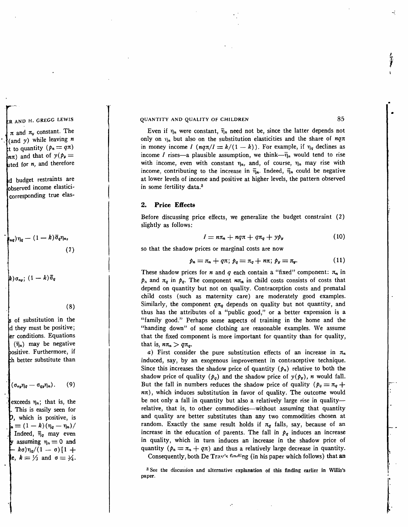Even if  $\eta_n$  were constant,  $\overline{\eta}_n$  need not be, since the latter depends not only on  $\eta_n$  but also on the substitution elasticities and the share of  $nq\pi$ in money income I  $(nq\pi/l = k/(1 - k))$ . For example, if  $\eta_q$  declines as income *I* rises—a plausible assumption, we think— $\overline{\eta}_n$ , would tend to rise with income, even with constant  $\eta_n$ , and, of course,  $\eta_n$  may rise with income, contributing to the increase in  $\bar{\eta}_n$ . Indeed,  $\bar{\eta}_n$  could be negative at lower levels of income and positive at higher levels, the pattern observed in some fertility data.3

## 2. Price Effects

Before discussing price effects, we generalize the budget constraint (2) slightly as follows:

$$
I = n\pi_n + nq\pi + q\pi_q + yp_\nu \tag{10}
$$

so that the shadow prices or marginal costs are now

$$
p_n = \pi_n + q\pi; \ p_q = \pi_q + n\pi; \ p_y = \pi_y. \tag{11}
$$

These shadow prices for *n* and *q* each contain a "fixed" component:  $\pi_n$  in  $p_n$  and  $\pi_q$  in  $p_q$ . The component  $n\pi_n$  in child costs consists of costs that depend on quantity but not on quality. Contraception costs and prenatal child costs (such as maternity care) are moderately good examples. Similarly, the component  $q\pi_q$  depends on quality but not quantity, and thus has the attributes of a "public good," or a better expression is a "family good." Perhaps some aspects of training in the home and the "handing down" of some clothing are reasonable examples. We assume that the fixed component is more important for quantity than for quality, that is,  $n\pi_n > q\pi_q$ .

a) First consider the pure substitution effects of an increase in  $\pi_n$ induced, say, by an exogenous improvement in contraceptive technique. Since this increases the shadow price of quantity  $(p_n)$  relative to both the shadow price of quality  $(p_q)$  and the shadow price of  $y(p_y)$ , n would fall. But the fall in numbers reduces the shadow price of quality  $(p_q = \pi_q + p)$  $n\pi$ ), which induces substitution in favor of quality. The outcome would be not only a fall in quantity but also a relatively large rise in quality relative, that is, to other commodities—without assuming that quantity and quality are better substitutes than any two commodities chosen at random. Exactly the same result holds if  $\pi_q$  falls, say, because of an increase in the education of parents. The fall in  $p_q$  induces an increase in quality, which in turn induces an increase in the shadow price of quantity ( $p_n = \pi_n + q\pi$ ) and thus a relatively large decrease in quantity.

Consequently, both De Trav's finding (in his paper which follows) that an

3 See the discussion and alternative explanation of this finding earlier in Willis's paper.

 $\mathbf{r}^{\star}_{1}$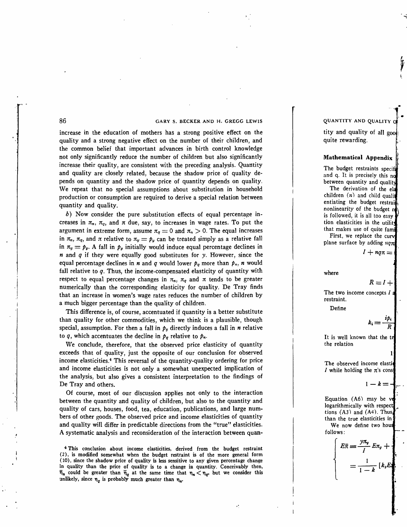increase in the education of mothers has a strong positive effect on the quality and a strong negative effect on the number of their children, and the common belief that important advances in birth control knowledge not only significantly reduce the number of children but also significantly increase their quality, are consistent with the preceding analysis. Quantity and quality are closely related, because the shadow price of quality depends on quantity and the shadow price of quantity depends on quality. We repeat that no special assumptions about substitution in household production or consumption are required to derive a special relation between quantity and quality.

 $b)$  Now consider the pure substitution effects of equal percentage increases in  $\pi_n$ ,  $\pi_q$ , and  $\pi$  due, say, to increases in wage rates. To put the argument in extreme form, assume  $\pi_q = 0$  and  $\pi_n > 0$ . The equal increases in  $\pi_n$ ,  $\pi_q$ , and  $\pi$  relative to  $\pi_y = p_y$  can be treated simply as a relative fall in  $\pi_y = p_y$ . A fall in  $p_y$  initially would induce equal percentage declines in  $n$  and  $q$  if they were equally good substitutes for  $y$ . However, since the equal percentage declines in *n* and *q* would lower  $p_q$  more than  $p_n$ , *n* would fall relative to  $q$ . Thus, the income-compensated elasticity of quantity with respect to equal percentage changes in  $\pi_n$ ,  $\pi_q$  and  $\pi$  tends to be greater numerically than the corresponding elasticity for quality. De Tray finds that an increase in women's wage rates reduces the number of children by a much bigger percentage than the quality of children.

This difference is, of course, accentuated if quantity is a better substitute than quality for other commodities, which we think is a plausible, though special, assumption. For then a fall in  $p_y$  directly induces a fall in n relative to q, which accentuates the decline in  $p_q$  relative to  $p_n$ .

We conclude, therefore, that the observed price elasticity of quantity exceeds that of quality, just the opposite of our conclusion for observed income elasticities.4 This reversal of the quantity-quality ordering for price and income elasticities is not only a somewhat unexpected implication of the analysis, but also gives a consistent interpretation to the findings of De Tray and others.

Of course, most of our discussion applies not only to the interaction between the quantity and quality of children, but also to the quantity and quality of cars, houses, food, tea, education, publications, and large numbers of other goods. The observed price and income elasticities of quantity and quality will differ in predictable directions from the "true" elasticities. A systematic analysis and reconsideration of the interaction between quan-

 $\star^*$ 

This conclusion about income elasticities, derived from the budget restraint (2), is modified somewhat when the budget restraint is of the more general form (10), since the shadow price of quality is less sensitive to any given percentage change in quality than the price of quality is to a change in quantity. Conceivably then,  $\bar{\eta}_n$  could be greater than  $\bar{\eta}_q$  at the same time that  $\eta_n < \eta_q$ , but we consider this unlikely, since  $\eta_q$  is probably much greater than  $\eta_n$ .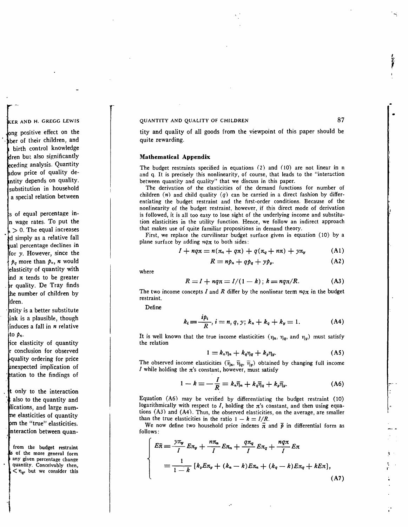tity and quality of all goods from the viewpoint of this paper should be quite rewarding.

#### Mathematical Appendix

The budget restraints specified in equations (2) and (10) are not linear in n and q. It is precisely this nonlinearity, of course, that leads to the "interaction between quantity and quality" that we discuss in this paper.

QUANTITY AND QUALITY OF CHILDREN<br>
bity and quality of all goods from the yiewpoint of this paper should be<br>
quite rewarding<br>
The budget retarctions of a goods from the yiewpoint of this paper should be<br>
quite rewarding<br>
T The derivation of the elasticities of the demand functions for number of children  $(n)$  and child quality  $(q)$  can be carried in a direct fashion by differentiating the budget restraint and the first-order conditions. Because of the nonlinearity of the budget restraint, however, if this direct mode of derivation is followed, it is all too easy to lose sight of the underlying income and substitution elasticities in the utility function. Hence, we follow an indirect approach that makes use of quite familiar propositions in demand theory.

First, we replace the curvilinear budget surface given in equation (10) by a plane surface by adding  $nq\pi$  to both sides:

$$
I + nq\pi = n(\pi_n + q\pi) + q(\pi_q + n\pi) + y\pi_y \tag{A1}
$$

$$
R = np_n + qp_q + yp_y. \tag{A2}
$$

$$
R = I + nq\pi = I/(1-k); k = nq\pi/R.
$$
 (A3)

The two income concepts I and R differ by the nonlinear term  $n q_{\pi}$  in the budget restraint.

Define

$$
k_i = \frac{i p_i}{R}, i = n, q, y; k_n + k_q + k_y = 1.
$$
 (A4)

It is well known that the true income elasticities  $(\eta_n, \eta_q, \text{ and } \eta_y)$  must satisfy the relation

$$
1 = k_n \eta_n + k_q \eta_q + k_y \eta_y. \tag{A5}
$$

The observed income elasticities  $(\bar{\eta}_n, \bar{\eta}_q, \bar{\eta}_y)$  obtained by changing full income I while holding the  $\pi$ 's constant, however, must satisfy

$$
1 - k = -\frac{I}{R} = k_n \overline{\eta}_n + k_q \overline{\eta}_q + k_y \overline{\eta}_y.
$$
 (A6)

Equation (A6) may be verified by differentiating the budget restraint (10) logarithmically with respect to I, holding the  $\pi$ 's constant, and then using equations  $(A3)$  and  $(A4)$ . Thus, the observed elasticities, on the average, are smaller than the true elasticities in the ratio  $1 - k = I/R$ .

We now define two household price indexes  $\bar{\pi}$  and  $\bar{p}$  in differential form as follows:

$$
\begin{cases}\nE\bar{\pi} = \frac{\gamma \pi_{\mathbf{y}}}{I} E\pi_{\mathbf{y}} + \frac{n\pi_{\mathbf{n}}}{I} E\pi_{\mathbf{n}} + \frac{q\pi_{q}}{I} E\pi_{q} + \frac{nq\pi}{I} E\pi \\
= \frac{1}{1-k} \left[ k_{y} E\pi_{y} + (k_{\mathbf{n}} - k) E\pi_{\mathbf{n}} + (k_{q} - k) E\pi_{q} + k E\pi \right],\n\end{cases} \tag{A7}
$$

 $\ddot{\phantom{0}}$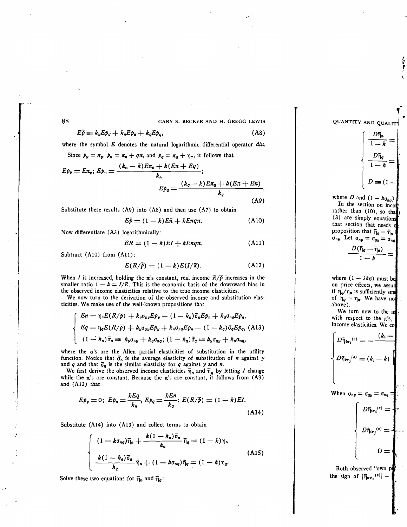$$
E\bar{\rho} \equiv k_y E \rho_y + k_n E \rho_n + k_q E \rho_q, \tag{A8}
$$

where the symbol E denotes the natural logarithmic differential operator  $d\mathbf{h}$ .

Since 
$$
p_y = \pi_y
$$
,  $p_n = \pi_n + q\pi$ , and  $p_q = \pi_q + \eta_\pi$ , it follows that

$$
Ep_y = E\pi_y; Ep_n = \frac{(k_n - k)E\pi_n + k(E\pi + Eq)}{k_n};
$$
  

$$
Ep_q = \frac{(k_q - k)E\pi_q + k(E\pi + En)}{k_q}.
$$
  
(A9)

Substitute these results (A9) into (A8) and then use (A7) to obtain

$$
E\bar{\phi} = (1 - k)E\bar{\pi} + kEnq\pi.
$$
 (A10)

Now differentiate (A3) logarithmically:

$$
ER = (1 - k)EI + kEnq\pi.
$$
 (A11)

Subtract (A10) from (A11):

$$
E(R/\bar{p}) = (1-k)E(I/\bar{\pi}). \tag{A12}
$$

When I is increased, holding the  $\pi$ 's constant, real income  $R/\bar{p}$  increases in the smaller ratio  $1 - k = I/R$ . This is the economic basis of the downward bias in the observed income elasticities relative to the true income elasticities.

We now turn to the derivation of the observed income and substitution elasticities. We make use of the well-known propositions that

$$
\begin{cases}\nE n = \eta_n E(R/\bar{p}) + k_y \sigma_{ny} E p_y - (1 - k_n) \bar{\sigma}_n E p_n + k_q \sigma_{nq} E p_q, \\
E q = \eta_q E(R/\bar{p}) + k_y \sigma_{qy} E p_y + k_n \sigma_{nq} E p_n - (1 - k_q) \bar{\sigma}_q E p_q, \text{ (A13)} \\
(1 - k_n) \bar{\sigma}_n \equiv k_y \sigma_{ny} + k_q \sigma_{nq}; (1 - k_q) \bar{\sigma}_q \equiv k_y \sigma_{qy} + k_n \sigma_{nq},\n\end{cases}
$$

where the  $\sigma$ 's are the Allen partial elasticities of substitution in the utility function. Notice that  $\bar{\sigma}_n$  is the average elasticity of substitution of *n* against *y* and q and that  $\bar{\sigma}_q$  is the similar elasticity for q against y and n.

We first derive the observed income elasticities  $\bar{\eta}_n$  and  $\bar{\eta}_q$  by letting I change while the  $\pi$ 's are constant. Because the  $\pi$ 's are constant, it follows from (A9) and (A12) that

$$
Ep_y = 0; \; Ep_n = \frac{kEq}{k_n}, \; Ep_q = \frac{kEn}{k_q}; \; E(R/\bar{p}) = (1-k)EI. \tag{A14}
$$

Substitute (A14) into (A13) and collect terms to obtain

$$
\begin{cases}\n(1 - k\sigma_{nq})\overline{\eta}_n + \frac{k(1 - k_n)\overline{\sigma}_n}{k_n} \overline{\eta}_q = (1 - k)\eta_n \\
\frac{k(1 - k_q)\overline{\sigma}_q}{k_q} \overline{\eta}_n + (1 - k\sigma_{nq})\overline{\eta}_q = (1 - k)\eta_q.\n\end{cases}
$$
\n(A15)

Solve these two equations for  $\bar{\eta}_n$  and  $\bar{\eta}_q$ :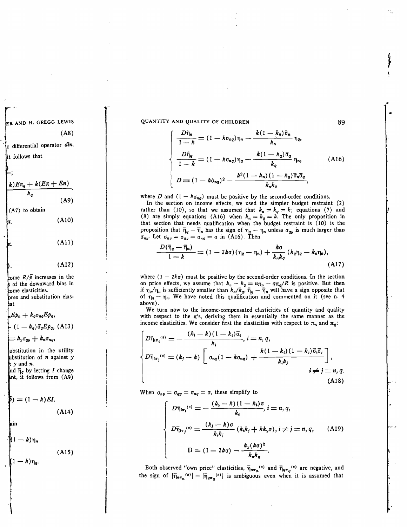$$
\begin{cases}\n\frac{D\tilde{\eta}_n}{1-k} = (1 - k\sigma_{nq})\eta_n - \frac{k(1 - k_n)\bar{\sigma}_n}{k_n} \eta_q, \\
\frac{D\bar{\eta}_q}{1-k} = (1 - k\sigma_{nq})\eta_q - \frac{k(1 - k_q)\bar{\sigma}_q}{k_q} \eta_n, \\
D \equiv (1 - k\dot{\sigma}_{nq})^2 - \frac{k^2(1 - k_n)(1 - k_q)\bar{\sigma}_n \bar{\sigma}_q}{k_n k_q},\n\end{cases} (A16)
$$

where D and  $(1 - k \sigma_{nq})$  must be positive by the second-order conditions.

In the section on income effects, we used the simpler budget restraint (2) rather than (10), so that we assumed that  $k_n = k_q = k$ ; equations (7) and where D and  $(1 - k\sigma_{nq})^2 - \frac{k^2(1 - k_n)(1 - k_q)\bar{\sigma}_n\bar{\sigma}_q}{k_n k_q}$ ,<br>where D and  $(1 - k\sigma_{nq})$  must be positive by the second-order conditions.<br>In the section on income effects, we used the simpler budget restraint (2)<br>rather tha that section that needs qualification when the budget restraint is (10) is the proposition that  $\bar{\eta}_q - \bar{\eta}_n$  has the sign of  $\eta_q - \eta_n$  unless  $\sigma_{q}$  is much larger than Let  $\sigma_{ny} = \sigma_{qy} = \sigma_{nq} = \sigma$  in (A16). Then

$$
\frac{D(\overline{\eta}_q - \overline{\eta}_n)}{1 - k} = (1 - 2k\sigma)(\eta_q - \eta_n) + \frac{k\sigma}{k_n k_q} (k_q \eta_q - k_n \eta_n),
$$
\n(A17)

where  $(1 - 2k\sigma)$  must be positive by the second-order conditions. In the section on price effects, we assume that  $k_n - k_q = n\pi_n - q\pi_q/R$  is positive. But then if  $\eta_q/\eta_n$  is sufficiently smaller than  $k_n/k_q$ ,  $\bar{\eta}_q - \bar{\eta}_n$  will have a sign opposite that of  $\eta_q - \eta_n$ . We have noted this qualification and commented on it (see n. 4 above).

We turn now to the income-compensated elasticities of quantity and quality with respect to the  $\pi$ 's, deriving them in essentially the same manner as the income elasticities. We consider first the elasticities with respect to  $\pi_n$  and  $\pi_q$ :

$$
\begin{cases}\nD\bar{\eta}_{i\pi_i}{}^{(s)} = -\frac{(k_i - k)(1 - k_i)\bar{\sigma}_i}{k_i}, i = n, q, \\
D\bar{\eta}_{i\pi_j}{}^{(s)} = (k_j - k) \left[ \sigma_{nq}(1 - k\sigma_{nq}) + \frac{k(1 - k_i)(1 - k_j)\bar{\sigma}_i\bar{\sigma}_j}{k_i k_j} \right], \\
i \neq j = n, q. \\
\text{(A18)}\n\end{cases}
$$

When  $\sigma_{ny} = \sigma_{q} = \sigma_{n} = \sigma$ , these simplify to

$$
\begin{cases}\nD\overline{\eta}_{i\pi_i}{}^{(s)} = -\frac{(k_i - k)(1 - k_i)\sigma}{k_i}, i = n, q, \\
D\overline{\eta}_{i\pi_j}{}^{(s)} = \frac{(k_j - k)\sigma}{k_i k_j} (k_i k_j + k k_y \sigma), i \neq j = n, q,\n\end{cases} (A19)
$$
\n
$$
D = (1 - 2k\sigma) - \frac{k_y (k\sigma)^2}{k_n k_q}.
$$

Both observed "own price" elasticities,  $\overline{\eta}_{n\pi_n}(s)$  and  $\overline{\eta}_{q\pi_q}(s)$  are negative, and the sign of  $|\overline{\eta}_{n\pi_n}^{(s)}| - |\overline{\eta}_{q\pi_q}^{(s)}|$  is ambiguous even when it is assumed that